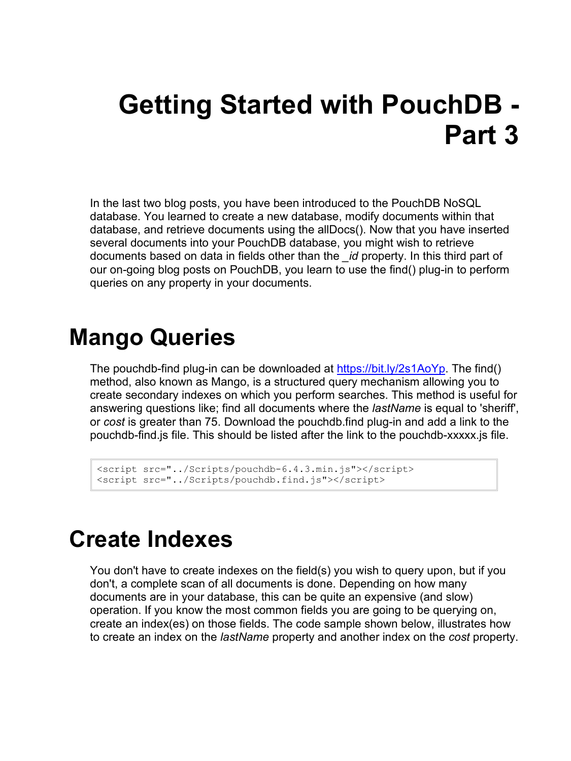# **Getting Started with PouchDB - Part 3**

In the last two blog posts, you have been introduced to the PouchDB NoSQL database. You learned to create a new database, modify documents within that database, and retrieve documents using the allDocs(). Now that you have inserted several documents into your PouchDB database, you might wish to retrieve documents based on data in fields other than the *\_id* property. In this third part of our on-going blog posts on PouchDB, you learn to use the find() plug-in to perform queries on any property in your documents.

## **Mango Queries**

The pouchdb-find plug-in can be downloaded at [https://bit.ly/2s1AoYp.](https://bit.ly/2s1AoYp) The find() method, also known as Mango, is a structured query mechanism allowing you to create secondary indexes on which you perform searches. This method is useful for answering questions like; find all documents where the *lastName* is equal to 'sheriff', or *cost* is greater than 75. Download the pouchdb.find plug-in and add a link to the pouchdb-find.js file. This should be listed after the link to the pouchdb-xxxxx.js file.

```
<script src="../Scripts/pouchdb-6.4.3.min.js"></script>
<script src="../Scripts/pouchdb.find.js"></script>
```
### **Create Indexes**

You don't have to create indexes on the field(s) you wish to query upon, but if you don't, a complete scan of all documents is done. Depending on how many documents are in your database, this can be quite an expensive (and slow) operation. If you know the most common fields you are going to be querying on, create an index(es) on those fields. The code sample shown below, illustrates how to create an index on the *lastName* property and another index on the *cost* property.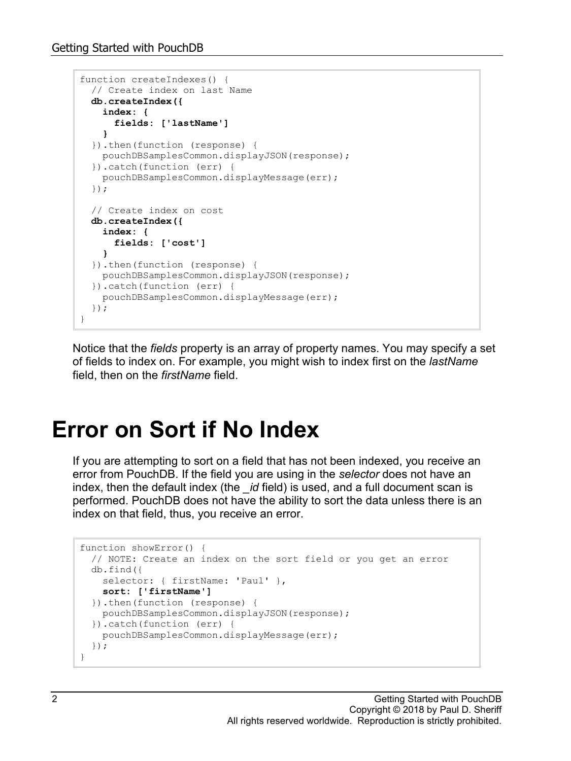```
function createIndexes() {
  // Create index on last Name
  db.createIndex({
    index: {
      fields: ['lastName']
    }
   }).then(function (response) {
    pouchDBSamplesCommon.displayJSON(response);
   }).catch(function (err) {
    pouchDBSamplesCommon.displayMessage(err);
   });
  // Create index on cost
  db.createIndex({
    index: {
      fields: ['cost']
    }
  }).then(function (response) {
    pouchDBSamplesCommon.displayJSON(response);
   }).catch(function (err) {
    pouchDBSamplesCommon.displayMessage(err);
   });
}
```
Notice that the *fields* property is an array of property names. You may specify a set of fields to index on. For example, you might wish to index first on the *lastName* field, then on the *firstName* field.

### **Error on Sort if No Index**

If you are attempting to sort on a field that has not been indexed, you receive an error from PouchDB. If the field you are using in the *selector* does not have an index, then the default index (the *\_id* field) is used, and a full document scan is performed. PouchDB does not have the ability to sort the data unless there is an index on that field, thus, you receive an error.

```
function showError() {
  // NOTE: Create an index on the sort field or you get an error
  db.find({
   selector: { firstName: 'Paul' },
    sort: ['firstName']
  }).then(function (response) {
    pouchDBSamplesCommon.displayJSON(response);
   }).catch(function (err) {
    pouchDBSamplesCommon.displayMessage(err);
  });
}
```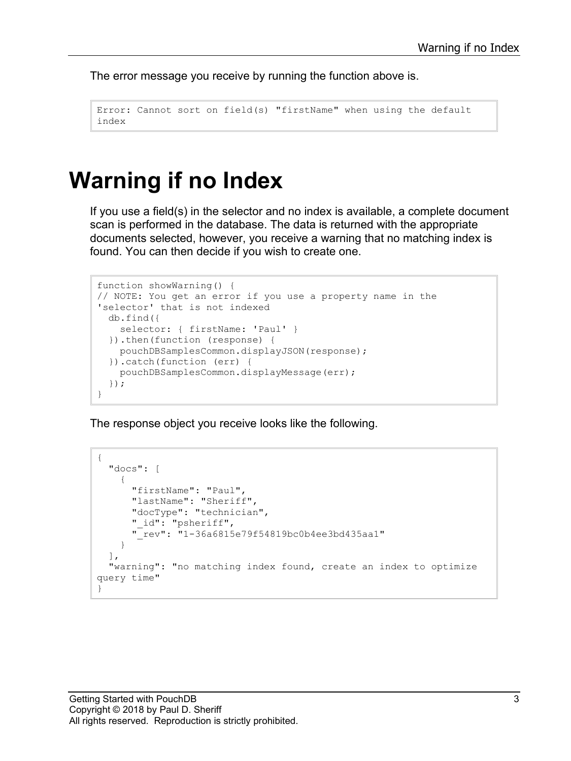The error message you receive by running the function above is.

```
Error: Cannot sort on field(s) "firstName" when using the default 
index
```
#### **Warning if no Index**

If you use a field(s) in the selector and no index is available, a complete document scan is performed in the database. The data is returned with the appropriate documents selected, however, you receive a warning that no matching index is found. You can then decide if you wish to create one.

```
function showWarning() {
// NOTE: You get an error if you use a property name in the 
'selector' that is not indexed
  db.find({
   selector: { firstName: 'Paul' }
   }).then(function (response) {
    pouchDBSamplesCommon.displayJSON(response);
   }).catch(function (err) {
    pouchDBSamplesCommon.displayMessage(err);
   });
}
```
The response object you receive looks like the following.

```
{
   "docs": [
     {
       "firstName": "Paul",
       "lastName": "Sheriff",
       "docType": "technician",
       "_id": "psheriff",
       "_rev": "1-36a6815e79f54819bc0b4ee3bd435aa1"
     }
  \frac{1}{2},
   "warning": "no matching index found, create an index to optimize 
query time"
}
```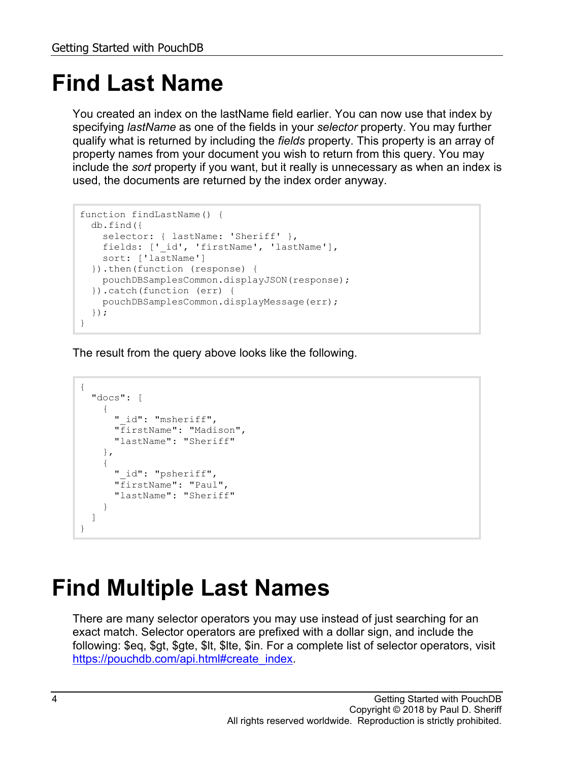# **Find Last Name**

You created an index on the lastName field earlier. You can now use that index by specifying *lastName* as one of the fields in your *selector* property. You may further qualify what is returned by including the *fields* property. This property is an array of property names from your document you wish to return from this query. You may include the *sort* property if you want, but it really is unnecessary as when an index is used, the documents are returned by the index order anyway.

```
function findLastName() {
  db.find({
   selector: { lastName: 'Sheriff' },
   fields: ['_id', 'firstName', 'lastName'],
    sort: ['lastName']
  }).then(function (response) {
    pouchDBSamplesCommon.displayJSON(response);
   }).catch(function (err) {
    pouchDBSamplesCommon.displayMessage(err);
  });
}
```
The result from the query above looks like the following.

```
{
   "docs": [
     {
       "_id": "msheriff",
       "firstName": "Madison",
       "lastName": "Sheriff"
     },
     {
       "_id": "psheriff",
       "firstName": "Paul",
       "lastName": "Sheriff"
     }
   ]
}
```
## **Find Multiple Last Names**

There are many selector operators you may use instead of just searching for an exact match. Selector operators are prefixed with a dollar sign, and include the following: \$eq, \$gt, \$gte, \$lt, \$lte, \$in. For a complete list of selector operators, visit [https://pouchdb.com/api.html#create\\_index.](https://pouchdb.com/api.html#create_index)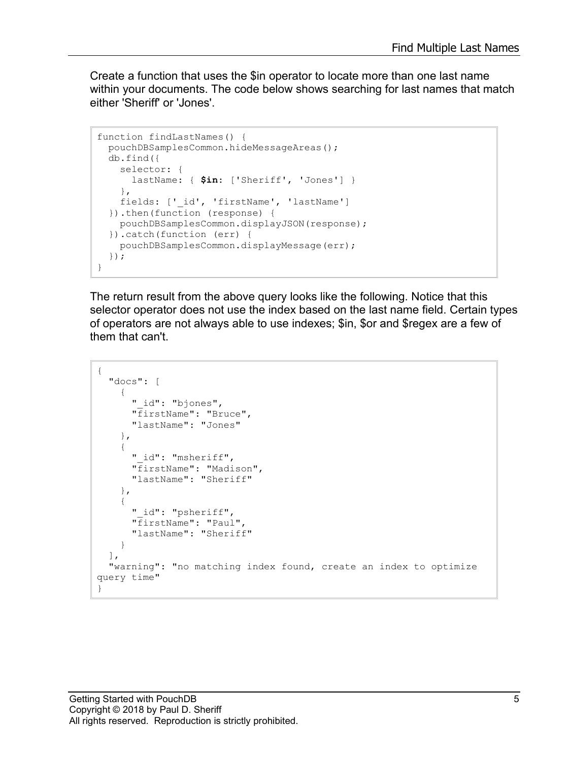Create a function that uses the \$in operator to locate more than one last name within your documents. The code below shows searching for last names that match either 'Sheriff' or 'Jones'.

```
function findLastNames() {
  pouchDBSamplesCommon.hideMessageAreas();
   db.find({
     selector: {
       lastName: { $in: ['Sheriff', 'Jones'] }
     },
   fields: ['_id', 'firstName', 'lastName']
   }).then(function (response) {
    pouchDBSamplesCommon.displayJSON(response);
   }).catch(function (err) {
    pouchDBSamplesCommon.displayMessage(err);
   });
}
```
The return result from the above query looks like the following. Notice that this selector operator does not use the index based on the last name field. Certain types of operators are not always able to use indexes; \$in, \$or and \$regex are a few of them that can't.

```
{
   "docs": [
     {
      " id": "bjones",
       "firstName": "Bruce",
       "lastName": "Jones"
     },
     {
       "_id": "msheriff",
       "firstName": "Madison",
       "lastName": "Sheriff"
     },
     {
      " id": "psheriff",
       "firstName": "Paul",
       "lastName": "Sheriff"
     }
  \frac{1}{2},
   "warning": "no matching index found, create an index to optimize 
query time"
}
```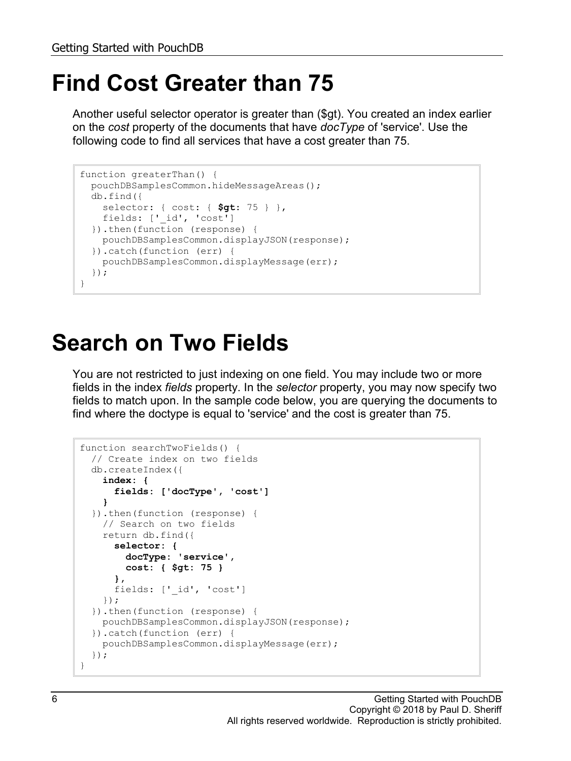## **Find Cost Greater than 75**

Another useful selector operator is greater than (\$gt). You created an index earlier on the *cost* property of the documents that have *docType* of 'service'. Use the following code to find all services that have a cost greater than 75.

```
function greaterThan() {
  pouchDBSamplesCommon.hideMessageAreas();
  db.find({
    selector: { cost: { $gt: 75 } },
    fields: ['_id', 'cost']
  }).then(function (response) {
    pouchDBSamplesCommon.displayJSON(response);
  }).catch(function (err) {
    pouchDBSamplesCommon.displayMessage(err);
  });
}
```
### **Search on Two Fields**

You are not restricted to just indexing on one field. You may include two or more fields in the index *fields* property. In the *selector* property, you may now specify two fields to match upon. In the sample code below, you are querying the documents to find where the doctype is equal to 'service' and the cost is greater than 75.

```
function searchTwoFields() {
  // Create index on two fields
  db.createIndex({
    index: {
       fields: ['docType', 'cost']
 }
 }).then(function (response) {
    // Search on two fields
    return db.find({
       selector: {
         docType: 'service',
        cost: { $gt: 75 }
       },
      fields: [' id', 'cost']
    });
   }).then(function (response) {
    pouchDBSamplesCommon.displayJSON(response);
   }).catch(function (err) {
     pouchDBSamplesCommon.displayMessage(err);
   });
}
```